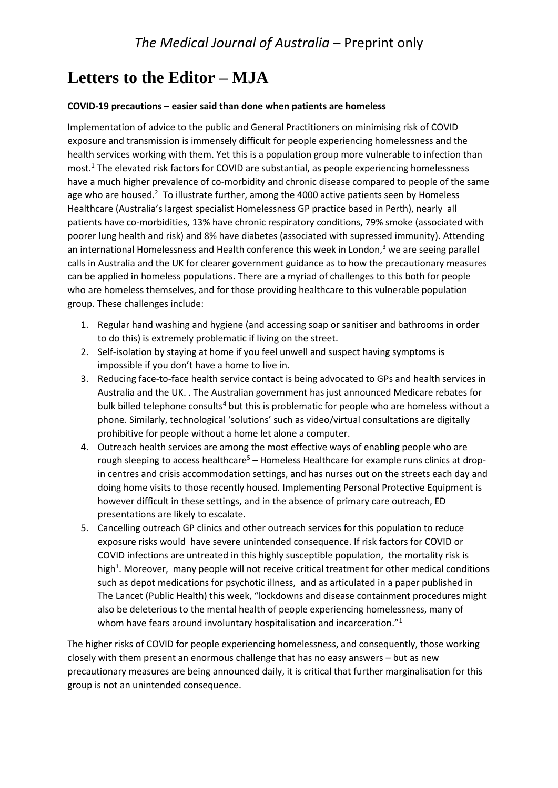## **Letters to the Editor – MJA**

## **COVID-19 precautions – easier said than done when patients are homeless**

Implementation of advice to the public and General Practitioners on minimising risk of COVID exposure and transmission is immensely difficult for people experiencing homelessness and the health services working with them. Yet this is a population group more vulnerable to infection than most. <sup>1</sup> The elevated risk factors for COVID are substantial, as people experiencing homelessness have a much higher prevalence of co-morbidity and chronic disease compared to people of the same age who are housed.<sup>2</sup> To illustrate further, among the 4000 active patients seen by Homeless Healthcare (Australia's largest specialist Homelessness GP practice based in Perth), nearly all patients have co-morbidities, 13% have chronic respiratory conditions, 79% smoke (associated with poorer lung health and risk) and 8% have diabetes (associated with supressed immunity). Attending an international Homelessness and Health conference this week in London,<sup>3</sup> we are seeing parallel calls in Australia and the UK for clearer government guidance as to how the precautionary measures can be applied in homeless populations. There are a myriad of challenges to this both for people who are homeless themselves, and for those providing healthcare to this vulnerable population group. These challenges include:

- 1. Regular hand washing and hygiene (and accessing soap or sanitiser and bathrooms in order to do this) is extremely problematic if living on the street.
- 2. Self-isolation by staying at home if you feel unwell and suspect having symptoms is impossible if you don't have a home to live in.
- 3. Reducing face-to-face health service contact is being advocated to GPs and health services in Australia and the UK. . The Australian government has just announced Medicare rebates for bulk billed telephone consults<sup>4</sup> but this is problematic for people who are homeless without a phone. Similarly, technological 'solutions' such as video/virtual consultations are digitally prohibitive for people without a home let alone a computer.
- 4. Outreach health services are among the most effective ways of enabling people who are rough sleeping to access healthcare<sup>5</sup> – Homeless Healthcare for example runs clinics at dropin centres and crisis accommodation settings, and has nurses out on the streets each day and doing home visits to those recently housed. Implementing Personal Protective Equipment is however difficult in these settings, and in the absence of primary care outreach, ED presentations are likely to escalate.
- 5. Cancelling outreach GP clinics and other outreach services for this population to reduce exposure risks would have severe unintended consequence. If risk factors for COVID or COVID infections are untreated in this highly susceptible population, the mortality risk is high<sup>1</sup>. Moreover, many people will not receive critical treatment for other medical conditions such as depot medications for psychotic illness, and as articulated in a paper published in The Lancet (Public Health) this week, "lockdowns and disease containment procedures might also be deleterious to the mental health of people experiencing homelessness, many of whom have fears around involuntary hospitalisation and incarceration."<sup>1</sup>

The higher risks of COVID for people experiencing homelessness, and consequently, those working closely with them present an enormous challenge that has no easy answers – but as new precautionary measures are being announced daily, it is critical that further marginalisation for this group is not an unintended consequence.